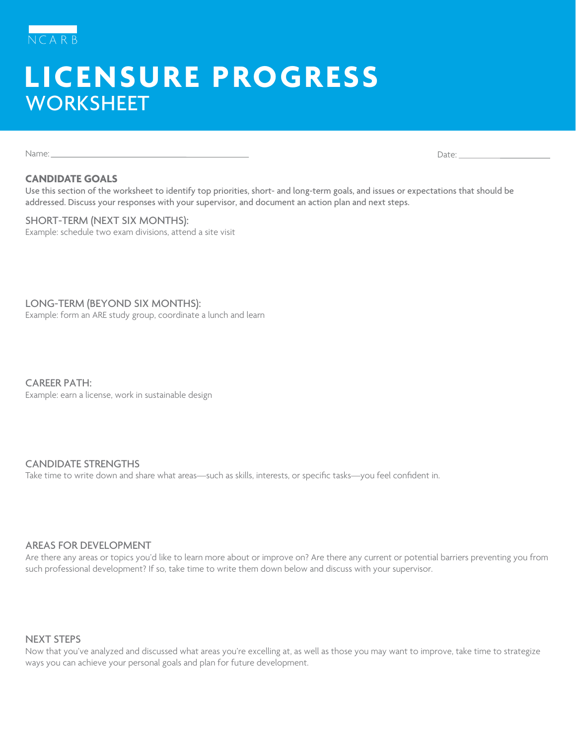

# **LICENSURE PROGRESS WORKSHEET**

Name: Date:

### **CANDIDATE GOALS**

Use this section of the worksheet to identify top priorities, short- and long-term goals, and issues or expectations that should be addressed. Discuss your responses with your supervisor, and document an action plan and next steps.

SHORT-TERM (NEXT SIX MONTHS): Example: schedule two exam divisions, attend a site visit

LONG-TERM (BEYOND SIX MONTHS): Example: form an ARE study group, coordinate a lunch and learn

CAREER PATH: Example: earn a license, work in sustainable design

# CANDIDATE STRENGTHS

Take time to write down and share what areas—such as skills, interests, or specific tasks—you feel confident in.

# AREAS FOR DEVELOPMENT

Are there any areas or topics you'd like to learn more about or improve on? Are there any current or potential barriers preventing you from such professional development? If so, take time to write them down below and discuss with your supervisor.

#### NEXT STEPS

Now that you've analyzed and discussed what areas you're excelling at, as well as those you may want to improve, take time to strategize ways you can achieve your personal goals and plan for future development.